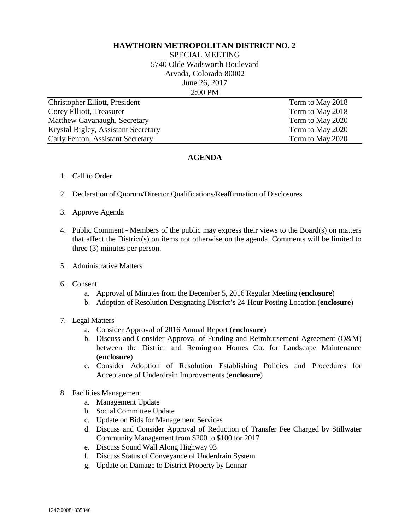## **HAWTHORN METROPOLITAN DISTRICT NO. 2**

SPECIAL MEETING 5740 Olde Wadsworth Boulevard Arvada, Colorado 80002 June 26, 2017 2:00 PM

| Christopher Elliott, President      | Term to May 2018 |
|-------------------------------------|------------------|
| Corey Elliott, Treasurer            | Term to May 2018 |
| Matthew Cavanaugh, Secretary        | Term to May 2020 |
| Krystal Bigley, Assistant Secretary | Term to May 2020 |
| Carly Fenton, Assistant Secretary   | Term to May 2020 |

## **AGENDA**

- 1. Call to Order
- 2. Declaration of Quorum/Director Qualifications/Reaffirmation of Disclosures
- 3. Approve Agenda
- 4. Public Comment Members of the public may express their views to the Board(s) on matters that affect the District(s) on items not otherwise on the agenda. Comments will be limited to three (3) minutes per person.
- 5. Administrative Matters
- 6. Consent
	- a. Approval of Minutes from the December 5, 2016 Regular Meeting (**enclosure**)
	- b. Adoption of Resolution Designating District's 24-Hour Posting Location (**enclosure**)
- 7. Legal Matters
	- a. Consider Approval of 2016 Annual Report (**enclosure**)
	- b. Discuss and Consider Approval of Funding and Reimbursement Agreement (O&M) between the District and Remington Homes Co. for Landscape Maintenance (**enclosure**)
	- c. Consider Adoption of Resolution Establishing Policies and Procedures for Acceptance of Underdrain Improvements (**enclosure**)
- 8. Facilities Management
	- a. Management Update
	- b. Social Committee Update
	- c. Update on Bids for Management Services
	- d. Discuss and Consider Approval of Reduction of Transfer Fee Charged by Stillwater Community Management from \$200 to \$100 for 2017
	- e. Discuss Sound Wall Along Highway 93
	- f. Discuss Status of Conveyance of Underdrain System
	- g. Update on Damage to District Property by Lennar